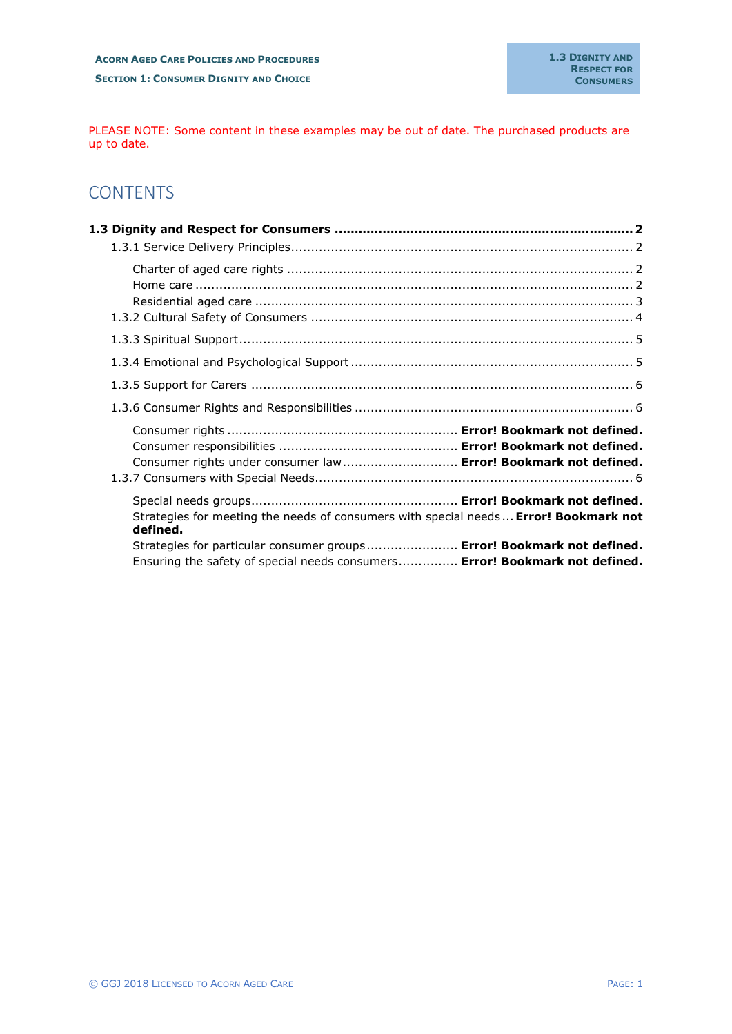PLEASE NOTE: Some content in these examples may be out of date. The purchased products are up to date.

# **CONTENTS**

| Consumer rights under consumer law  Error! Bookmark not defined.                                                                                                                                                                                           |  |
|------------------------------------------------------------------------------------------------------------------------------------------------------------------------------------------------------------------------------------------------------------|--|
| Strategies for meeting the needs of consumers with special needs  Error! Bookmark not<br>defined.<br>Strategies for particular consumer groups Error! Bookmark not defined.<br>Ensuring the safety of special needs consumers Error! Bookmark not defined. |  |
|                                                                                                                                                                                                                                                            |  |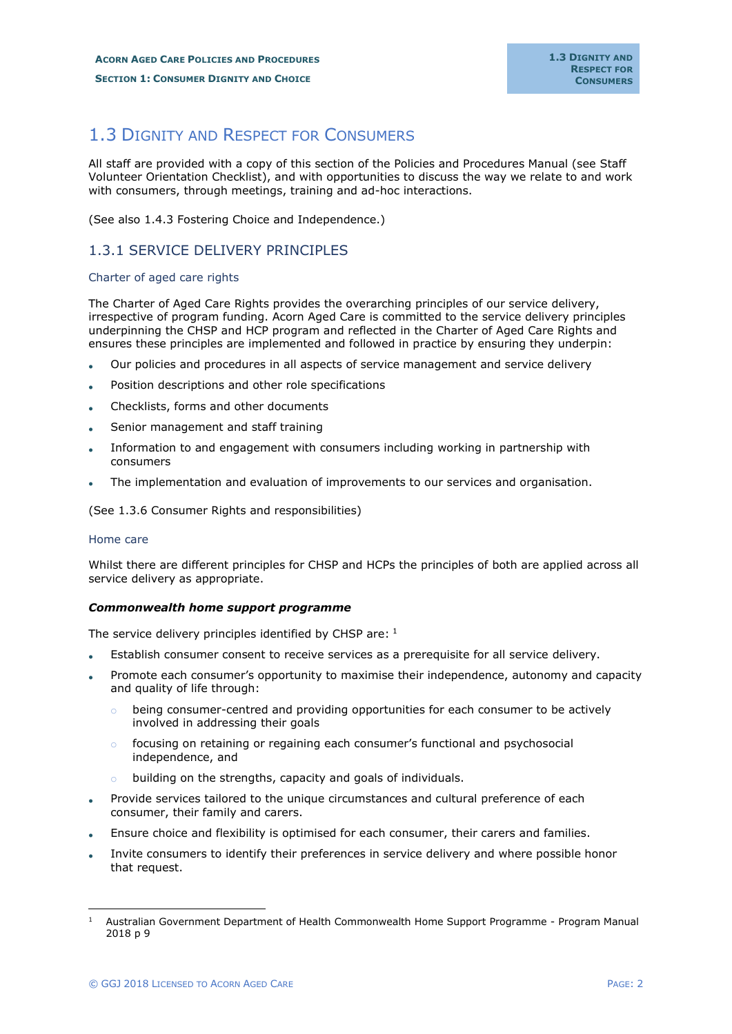# <span id="page-1-0"></span>1.3 DIGNITY AND RESPECT FOR CONSUMERS

All staff are provided with a copy of this section of the Policies and Procedures Manual (see Staff Volunteer Orientation Checklist), and with opportunities to discuss the way we relate to and work with consumers, through meetings, training and ad-hoc interactions.

(See also 1.4.3 Fostering Choice and Independence.)

### <span id="page-1-1"></span>1.3.1 SERVICE DELIVERY PRINCIPLES

#### <span id="page-1-2"></span>Charter of aged care rights

The Charter of Aged Care Rights provides the overarching principles of our service delivery, irrespective of program funding. Acorn Aged Care is committed to the service delivery principles underpinning the CHSP and HCP program and reflected in the Charter of Aged Care Rights and ensures these principles are implemented and followed in practice by ensuring they underpin:

- Our policies and procedures in all aspects of service management and service delivery
- Position descriptions and other role specifications
- Checklists, forms and other documents
- Senior management and staff training
- Information to and engagement with consumers including working in partnership with consumers
- The implementation and evaluation of improvements to our services and organisation.

(See 1.3.6 Consumer Rights and responsibilities)

### <span id="page-1-3"></span>Home care

Whilst there are different principles for CHSP and HCPs the principles of both are applied across all service delivery as appropriate.

### *Commonwealth home support programme*

The service delivery principles identified by CHSP are: 1

- Establish consumer consent to receive services as a prerequisite for all service delivery.
- Promote each consumer's opportunity to maximise their independence, autonomy and capacity and quality of life through:
	- $\circ$  being consumer-centred and providing opportunities for each consumer to be actively involved in addressing their goals
	- $\circ$  focusing on retaining or regaining each consumer's functional and psychosocial independence, and
	- o building on the strengths, capacity and goals of individuals.
- Provide services tailored to the unique circumstances and cultural preference of each consumer, their family and carers.
- Ensure choice and flexibility is optimised for each consumer, their carers and families.
- Invite consumers to identify their preferences in service delivery and where possible honor that request.

<sup>1</sup> Australian Government Department of Health Commonwealth Home Support Programme - Program Manual 2018 p 9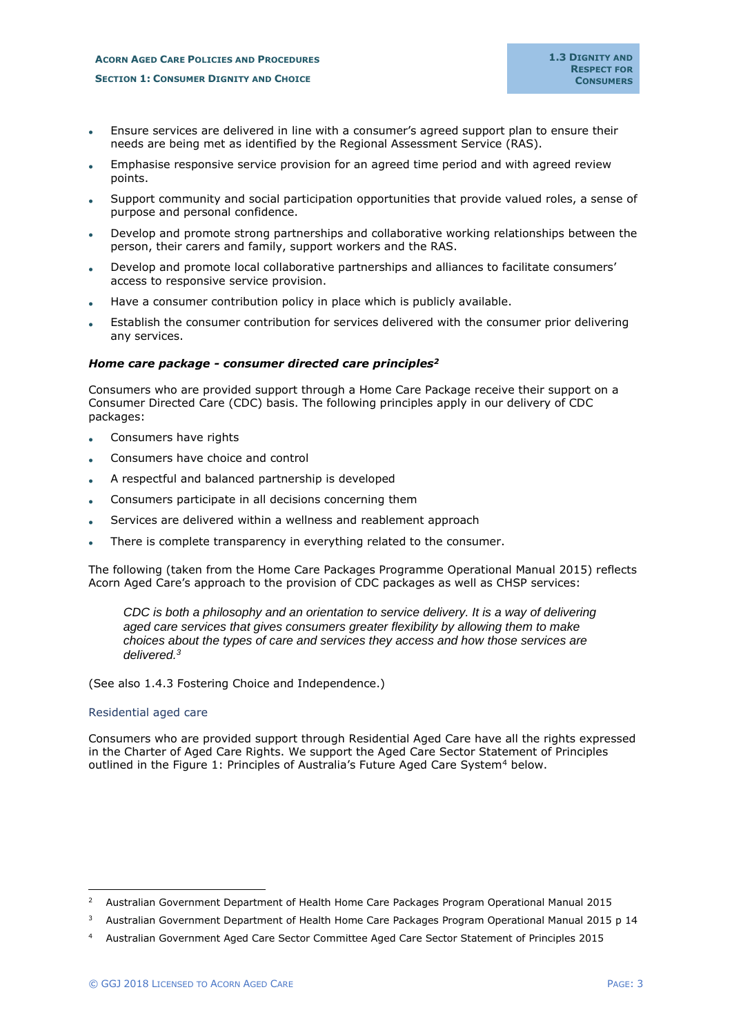- Ensure services are delivered in line with a consumer's agreed support plan to ensure their needs are being met as identified by the Regional Assessment Service (RAS).
- Emphasise responsive service provision for an agreed time period and with agreed review points.
- Support community and social participation opportunities that provide valued roles, a sense of purpose and personal confidence.
- Develop and promote strong partnerships and collaborative working relationships between the person, their carers and family, support workers and the RAS.
- Develop and promote local collaborative partnerships and alliances to facilitate consumers' access to responsive service provision.
- Have a consumer contribution policy in place which is publicly available.
- Establish the consumer contribution for services delivered with the consumer prior delivering any services.

### *Home care package - consumer directed care principles<sup>2</sup>*

Consumers who are provided support through a Home Care Package receive their support on a Consumer Directed Care (CDC) basis. The following principles apply in our delivery of CDC packages:

- Consumers have rights
- Consumers have choice and control
- A respectful and balanced partnership is developed
- Consumers participate in all decisions concerning them
- Services are delivered within a wellness and reablement approach
- There is complete transparency in everything related to the consumer.

The following (taken from the Home Care Packages Programme Operational Manual 2015) reflects Acorn Aged Care's approach to the provision of CDC packages as well as CHSP services:

*CDC is both a philosophy and an orientation to service delivery. It is a way of delivering aged care services that gives consumers greater flexibility by allowing them to make choices about the types of care and services they access and how those services are delivered.<sup>3</sup>*

(See also 1.4.3 Fostering Choice and Independence.)

#### <span id="page-2-0"></span>Residential aged care

Consumers who are provided support through Residential Aged Care have all the rights expressed in the Charter of Aged Care Rights. We support the Aged Care Sector Statement of Principles outlined in the Figure 1: Principles of Australia's Future Aged Care System<sup>4</sup> below.

<sup>&</sup>lt;sup>2</sup> Australian Government Department of Health Home Care Packages Program Operational Manual 2015

<sup>&</sup>lt;sup>3</sup> Australian Government Department of Health Home Care Packages Program Operational Manual 2015 p 14

<sup>4</sup> Australian Government Aged Care Sector Committee Aged Care Sector Statement of Principles 2015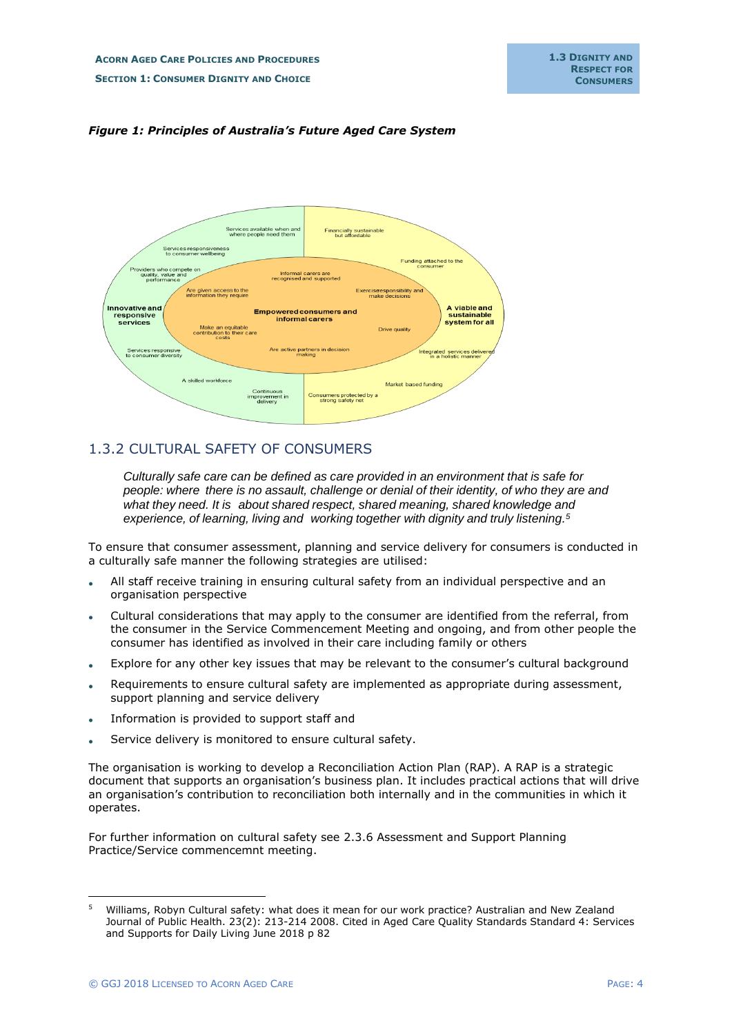



# <span id="page-3-0"></span>1.3.2 CULTURAL SAFETY OF CONSUMERS

*Culturally safe care can be defined as care provided in an environment that is safe for people: where there is no assault, challenge or denial of their identity, of who they are and what they need. It is about shared respect, shared meaning, shared knowledge and experience, of learning, living and working together with dignity and truly listening.<sup>5</sup>*

To ensure that consumer assessment, planning and service delivery for consumers is conducted in a culturally safe manner the following strategies are utilised:

- All staff receive training in ensuring cultural safety from an individual perspective and an organisation perspective
- Cultural considerations that may apply to the consumer are identified from the referral, from the consumer in the Service Commencement Meeting and ongoing, and from other people the consumer has identified as involved in their care including family or others
- Explore for any other key issues that may be relevant to the consumer's cultural background
- Requirements to ensure cultural safety are implemented as appropriate during assessment, support planning and service delivery
- Information is provided to support staff and
- Service delivery is monitored to ensure cultural safety.

The organisation is working to develop a Reconciliation Action Plan (RAP). A RAP is a strategic document that supports an organisation's business plan. It includes practical actions that will drive an organisation's contribution to reconciliation both internally and in the communities in which it operates.

For further information on cultural safety see 2.3.6 Assessment and Support Planning Practice/Service commencemnt meeting.

<sup>5</sup> Williams, Robyn Cultural safety: what does it mean for our work practice? Australian and New Zealand Journal of Public Health. 23(2): 213-214 2008. Cited in Aged Care Quality Standards Standard 4: Services and Supports for Daily Living June 2018 p 82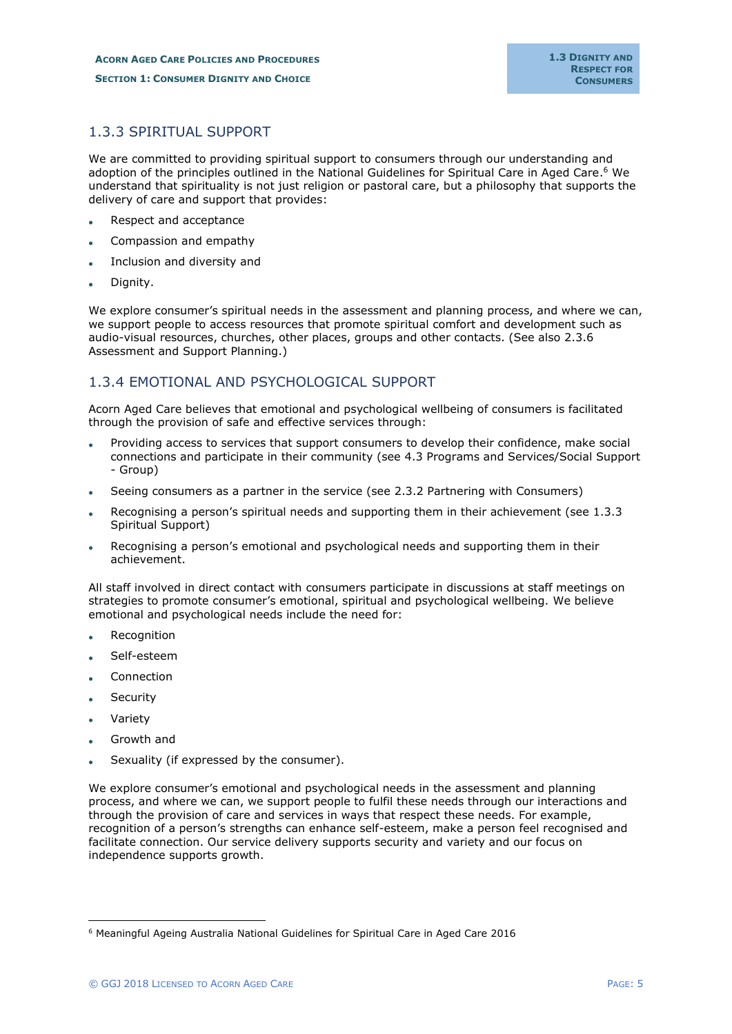# <span id="page-4-0"></span>1.3.3 SPIRITUAL SUPPORT

We are committed to providing spiritual support to consumers through our understanding and adoption of the principles outlined in the National Guidelines for Spiritual Care in Aged Care. <sup>6</sup> We understand that spirituality is not just religion or pastoral care, but a philosophy that supports the delivery of care and support that provides:

- Respect and acceptance
- Compassion and empathy
- Inclusion and diversity and
- Dignity.

We explore consumer's spiritual needs in the assessment and planning process, and where we can, we support people to access resources that promote spiritual comfort and development such as audio-visual resources, churches, other places, groups and other contacts. (See also 2.3.6 Assessment and Support Planning.)

### <span id="page-4-1"></span>1.3.4 EMOTIONAL AND PSYCHOLOGICAL SUPPORT

Acorn Aged Care believes that emotional and psychological wellbeing of consumers is facilitated through the provision of safe and effective services through:

- Providing access to services that support consumers to develop their confidence, make social connections and participate in their community (see 4.3 Programs and Services/Social Support - Group)
- Seeing consumers as a partner in the service (see 2.3.2 Partnering with Consumers)
- Recognising a person's spiritual needs and supporting them in their achievement (see 1.3.3 Spiritual Support)
- Recognising a person's emotional and psychological needs and supporting them in their achievement.

All staff involved in direct contact with consumers participate in discussions at staff meetings on strategies to promote consumer's emotional, spiritual and psychological wellbeing. We believe emotional and psychological needs include the need for:

- **Recognition**
- Self-esteem
- **Connection**
- **Security**
- **Variety**
- Growth and
- Sexuality (if expressed by the consumer).

We explore consumer's emotional and psychological needs in the assessment and planning process, and where we can, we support people to fulfil these needs through our interactions and through the provision of care and services in ways that respect these needs. For example, recognition of a person's strengths can enhance self-esteem, make a person feel recognised and facilitate connection. Our service delivery supports security and variety and our focus on independence supports growth.

<sup>6</sup> Meaningful Ageing Australia National Guidelines for Spiritual Care in Aged Care 2016